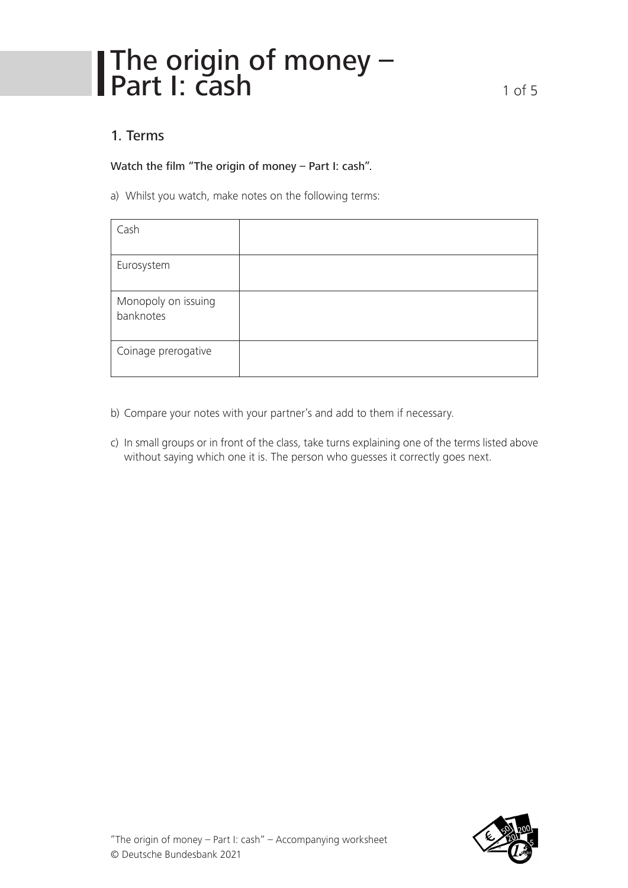# The origin of money – **Part I:**  $\overline{c}$ **ash** 1 of 5

## 1. Terms

Watch the film "The origin of money – Part I: cash".

a) Whilst you watch, make notes on the following terms:

| Cash                             |  |
|----------------------------------|--|
| Eurosystem                       |  |
| Monopoly on issuing<br>banknotes |  |
| Coinage prerogative              |  |

- b) Compare your notes with your partner's and add to them if necessary.
- c) In small groups or in front of the class, take turns explaining one of the terms listed above without saying which one it is. The person who guesses it correctly goes next.

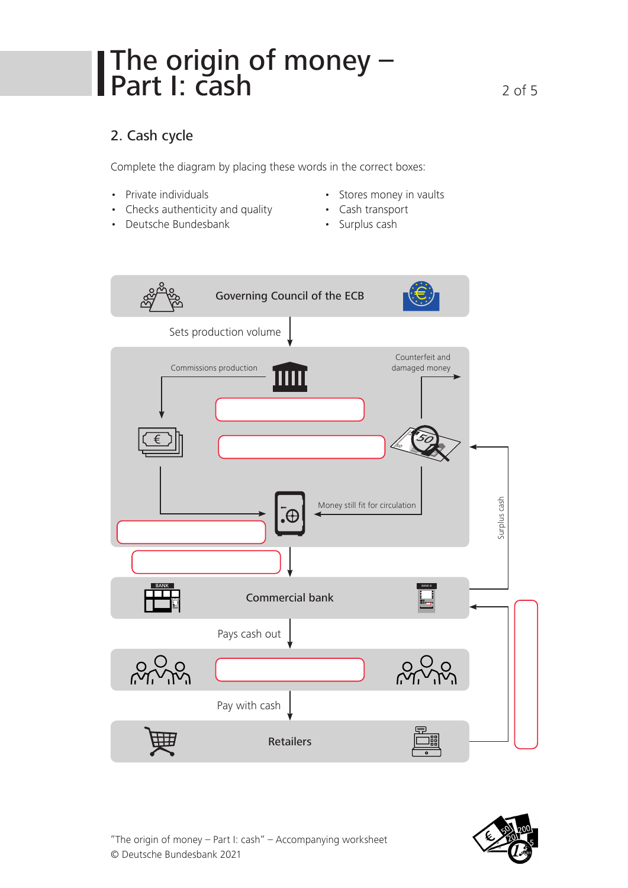# The origin of money – **Part I:**  $\overline{cash}$  2 of 5

## 2. Cash cycle

Complete the diagram by placing these words in the correct boxes:

- Private individuals
- Checks authenticity and quality
- Deutsche Bundesbank
- Stores money in vaults
- Cash transport
	- Surplus cash



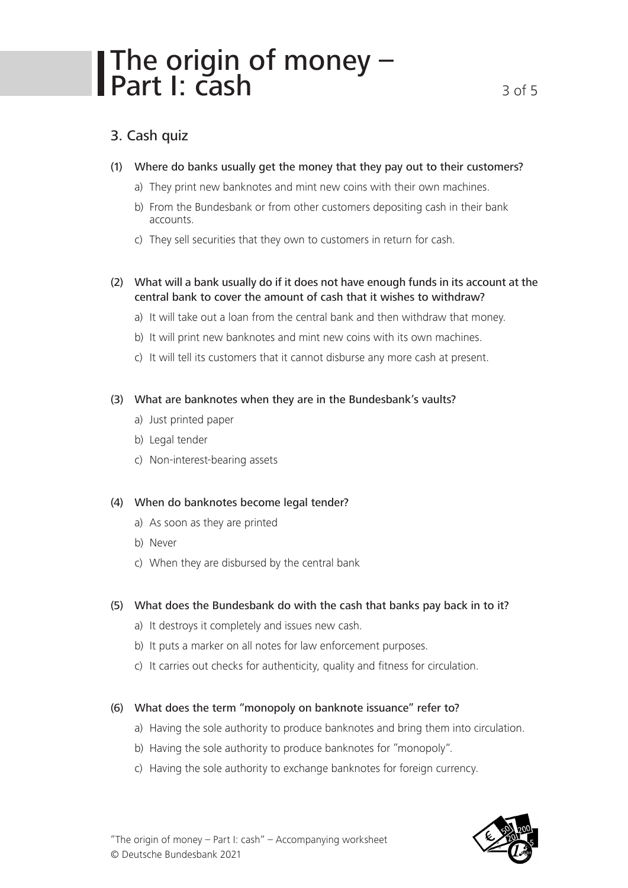# The origin of money – Part I: cash 3 of 5

## 3. Cash quiz

- (1) Where do banks usually get the money that they pay out to their customers?
	- a) They print new banknotes and mint new coins with their own machines.
	- b) From the Bundesbank or from other customers depositing cash in their bank accounts.
	- c) They sell securities that they own to customers in return for cash.

### (2) What will a bank usually do if it does not have enough funds in its account at the central bank to cover the amount of cash that it wishes to withdraw?

- a) It will take out a loan from the central bank and then withdraw that money.
- b) It will print new banknotes and mint new coins with its own machines.
- c) It will tell its customers that it cannot disburse any more cash at present.

### (3) What are banknotes when they are in the Bundesbank's vaults?

- a) Just printed paper
- b) Legal tender
- c) Non-interest-bearing assets

### (4) When do banknotes become legal tender?

- a) As soon as they are printed
- b) Never
- c) When they are disbursed by the central bank

### (5) What does the Bundesbank do with the cash that banks pay back in to it?

- a) It destroys it completely and issues new cash.
- b) It puts a marker on all notes for law enforcement purposes.
- c) It carries out checks for authenticity, quality and fitness for circulation.

#### (6) What does the term "monopoly on banknote issuance" refer to?

- a) Having the sole authority to produce banknotes and bring them into circulation.
- b) Having the sole authority to produce banknotes for "monopoly".
- c) Having the sole authority to exchange banknotes for foreign currency.

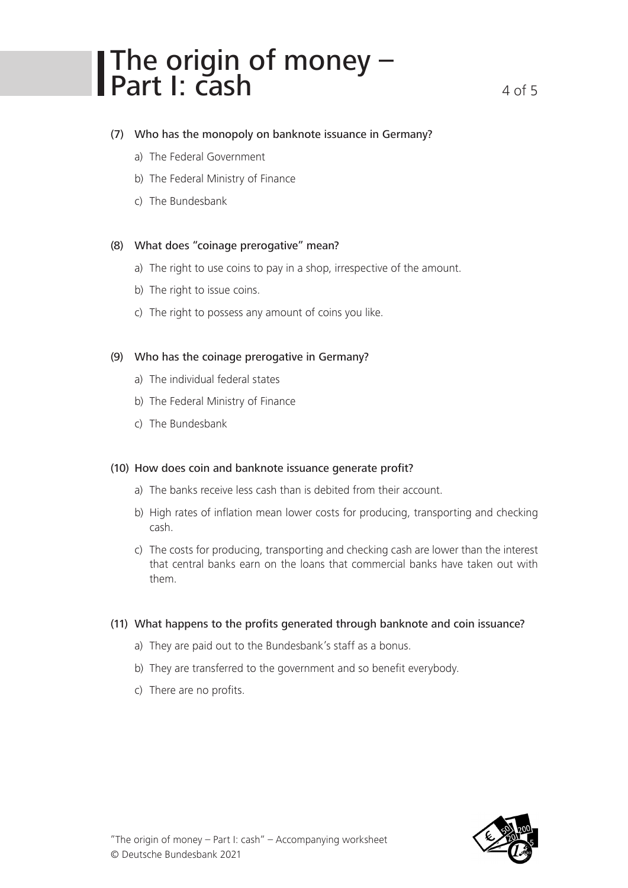# The origin of money – **Part I:**  $\overline{cash}$  4 of 5

### (7) Who has the monopoly on banknote issuance in Germany?

- a) The Federal Government
- b) The Federal Ministry of Finance
- c) The Bundesbank

#### (8) What does "coinage prerogative" mean?

- a) The right to use coins to pay in a shop, irrespective of the amount.
- b) The right to issue coins.
- c) The right to possess any amount of coins you like.

#### (9) Who has the coinage prerogative in Germany?

- a) The individual federal states
- b) The Federal Ministry of Finance
- c) The Bundesbank

#### (10) How does coin and banknote issuance generate profit?

- a) The banks receive less cash than is debited from their account.
- b) High rates of inflation mean lower costs for producing, transporting and checking cash.
- c) The costs for producing, transporting and checking cash are lower than the interest that central banks earn on the loans that commercial banks have taken out with them.

#### (11) What happens to the profits generated through banknote and coin issuance?

- a) They are paid out to the Bundesbank's staff as a bonus.
- b) They are transferred to the government and so benefit everybody.
- c) There are no profits.